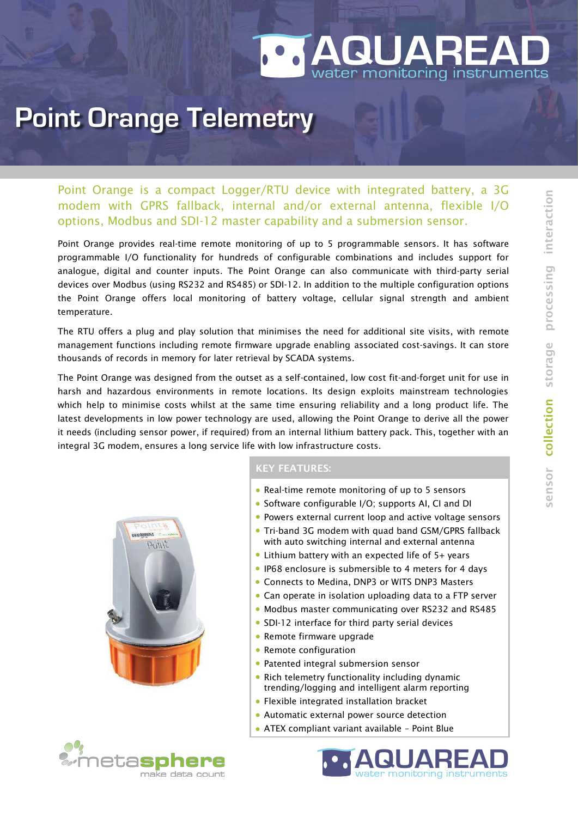## IP68 rated, low powered Remote Telemetry Unit <u>r monitoring instruments</u> **AQUARE**

## **Point Orange Telemetry**

Point Orange is a compact Logger/RTU device with integrated battery, a 3G modem with GPRS fallback, internal and/or external antenna, flexible I/O options, Modbus and SDI-12 master capability and a submersion sensor.

Point Orange provides real-time remote monitoring of up to 5 programmable sensors. It has software programmable I/O functionality for hundreds of configurable combinations and includes support for analogue, digital and counter inputs. The Point Orange can also communicate with third-party serial devices over Modbus (using RS232 and RS485) or SDI-12. In addition to the multiple configuration options the Point Orange offers local monitoring of battery voltage, cellular signal strength and ambient temperature.

The RTU offers a plug and play solution that minimises the need for additional site visits, with remote management functions including remote firmware upgrade enabling associated cost-savings. It can store thousands of records in memory for later retrieval by SCADA systems.

The Point Orange was designed from the outset as a self-contained, low cost fit-and-forget unit for use in harsh and hazardous environments in remote locations. Its design exploits mainstream technologies which help to minimise costs whilst at the same time ensuring reliability and a long product life. The latest developments in low power technology are used, allowing the Point Orange to derive all the power it needs (including sensor power, if required) from an internal lithium battery pack. This, together with an integral 3G modem, ensures a long service life with low infrastructure costs.





## KEY FEATURES:

- Real-time remote monitoring of up to 5 sensors
- Software configurable I/O; supports AI, CI and DI
- Powers external current loop and active voltage sensors
- Tri-band 3G modem with quad band GSM/GPRS fallback with auto switching internal and external antenna
- Lithium battery with an expected life of 5+ years
- IP68 enclosure is submersible to 4 meters for 4 days
- Connects to Medina, DNP3 or WITS DNP3 Masters
- Can operate in isolation uploading data to a FTP server
- Modbus master communicating over RS232 and RS485
- SDI-12 interface for third party serial devices
- **Remote firmware upgrade**
- Remote configuration
- Patented integral submersion sensor
- Rich telemetry functionality including dynamic trending/logging and intelligent alarm reporting
- Flexible integrated installation bracket
- Automatic external power source detection
- ATEX compliant variant available Point Blue



 $\equiv$